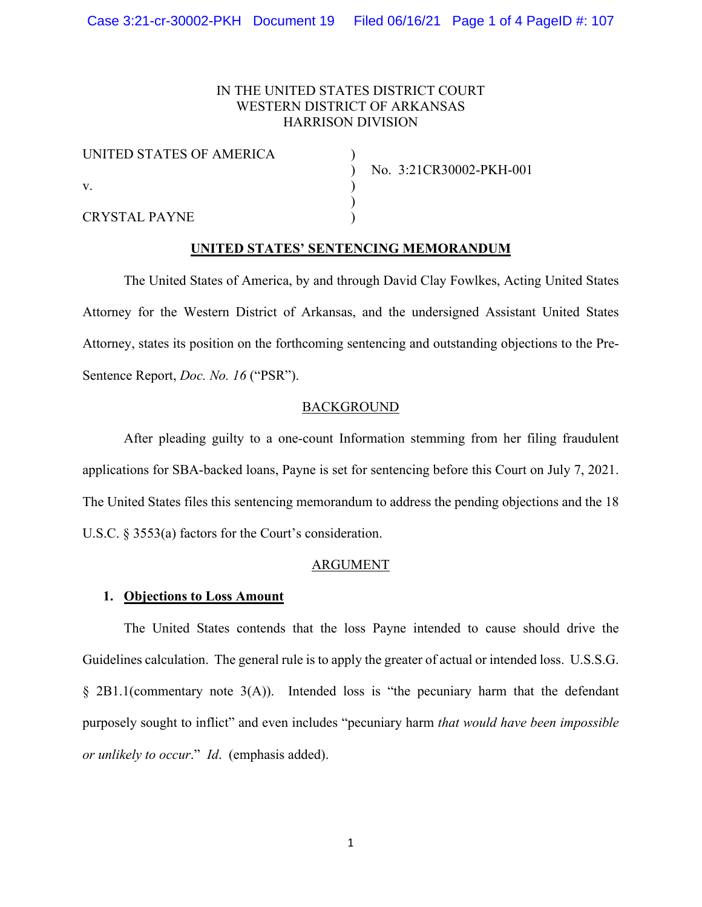# IN THE UNITED STATES DISTRICT COURT WESTERN DISTRICT OF ARKANSAS HARRISON DIVISION

| UNITED STATES OF AMERICA |  |
|--------------------------|--|
| V.                       |  |
| <b>CRYSTAL PAYNE</b>     |  |

) No. 3:21CR30002-PKH-001

# **UNITED STATES' SENTENCING MEMORANDUM**

)

The United States of America, by and through David Clay Fowlkes, Acting United States Attorney for the Western District of Arkansas, and the undersigned Assistant United States Attorney, states its position on the forthcoming sentencing and outstanding objections to the Pre-Sentence Report, *Doc. No. 16* ("PSR").

## BACKGROUND

After pleading guilty to a one-count Information stemming from her filing fraudulent applications for SBA-backed loans, Payne is set for sentencing before this Court on July 7, 2021. The United States files this sentencing memorandum to address the pending objections and the 18 U.S.C. § 3553(a) factors for the Court's consideration.

### ARGUMENT

## **1. Objections to Loss Amount**

The United States contends that the loss Payne intended to cause should drive the Guidelines calculation. The general rule is to apply the greater of actual or intended loss. U.S.S.G.  $\S$  2B1.1(commentary note 3(A)). Intended loss is "the pecuniary harm that the defendant purposely sought to inflict" and even includes "pecuniary harm *that would have been impossible or unlikely to occur*." *Id*. (emphasis added).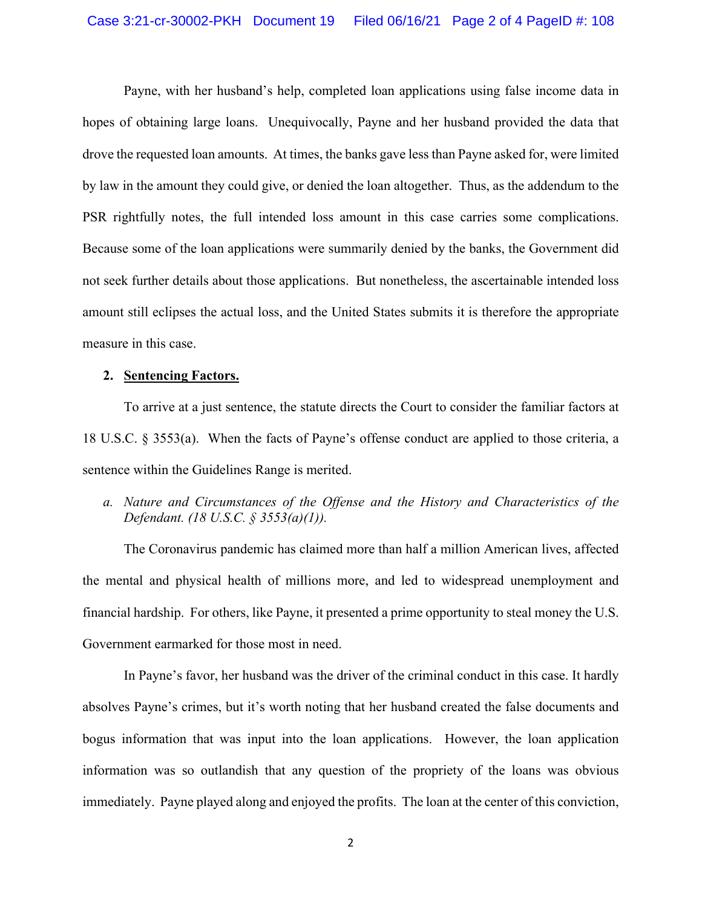Payne, with her husband's help, completed loan applications using false income data in hopes of obtaining large loans. Unequivocally, Payne and her husband provided the data that drove the requested loan amounts. At times, the banks gave less than Payne asked for, were limited by law in the amount they could give, or denied the loan altogether. Thus, as the addendum to the PSR rightfully notes, the full intended loss amount in this case carries some complications. Because some of the loan applications were summarily denied by the banks, the Government did not seek further details about those applications. But nonetheless, the ascertainable intended loss amount still eclipses the actual loss, and the United States submits it is therefore the appropriate measure in this case.

### **2. Sentencing Factors.**

To arrive at a just sentence, the statute directs the Court to consider the familiar factors at 18 U.S.C. § 3553(a). When the facts of Payne's offense conduct are applied to those criteria, a sentence within the Guidelines Range is merited.

*a. Nature and Circumstances of the Offense and the History and Characteristics of the Defendant. (18 U.S.C. § 3553(a)(1)).*

The Coronavirus pandemic has claimed more than half a million American lives, affected the mental and physical health of millions more, and led to widespread unemployment and financial hardship. For others, like Payne, it presented a prime opportunity to steal money the U.S. Government earmarked for those most in need.

In Payne's favor, her husband was the driver of the criminal conduct in this case. It hardly absolves Payne's crimes, but it's worth noting that her husband created the false documents and bogus information that was input into the loan applications. However, the loan application information was so outlandish that any question of the propriety of the loans was obvious immediately. Payne played along and enjoyed the profits. The loan at the center of this conviction,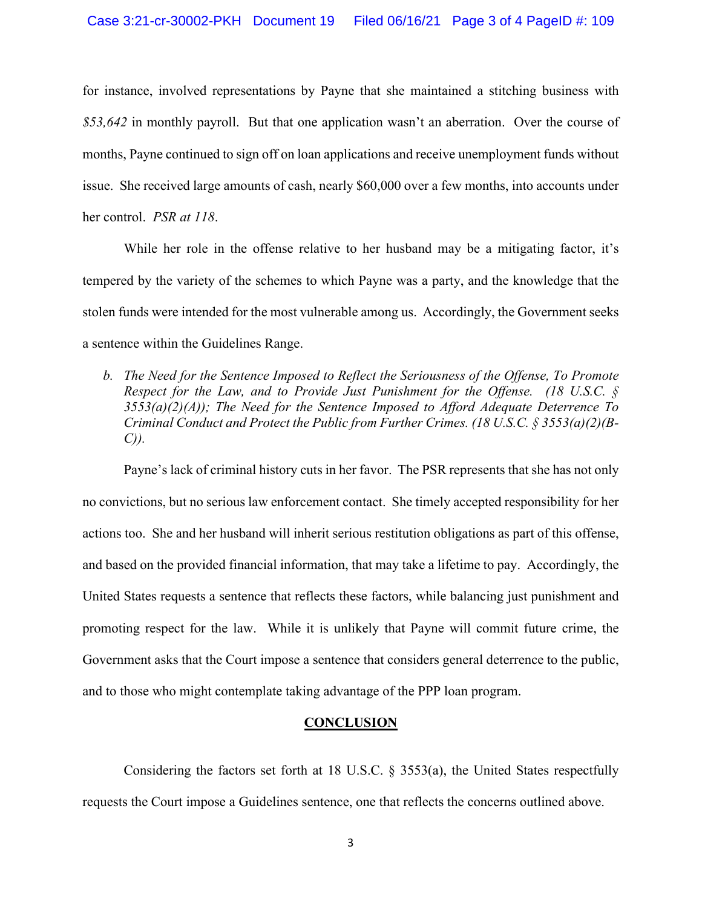for instance, involved representations by Payne that she maintained a stitching business with *\$53,642* in monthly payroll. But that one application wasn't an aberration. Over the course of months, Payne continued to sign off on loan applications and receive unemployment funds without issue. She received large amounts of cash, nearly \$60,000 over a few months, into accounts under her control. *PSR at 118*.

While her role in the offense relative to her husband may be a mitigating factor, it's tempered by the variety of the schemes to which Payne was a party, and the knowledge that the stolen funds were intended for the most vulnerable among us. Accordingly, the Government seeks a sentence within the Guidelines Range.

*b. The Need for the Sentence Imposed to Reflect the Seriousness of the Offense, To Promote Respect for the Law, and to Provide Just Punishment for the Offense. (18 U.S.C. § 3553(a)(2)(A)); The Need for the Sentence Imposed to Afford Adequate Deterrence To Criminal Conduct and Protect the Public from Further Crimes. (18 U.S.C. § 3553(a)(2)(B-C)).*

Payne's lack of criminal history cuts in her favor. The PSR represents that she has not only no convictions, but no serious law enforcement contact. She timely accepted responsibility for her actions too. She and her husband will inherit serious restitution obligations as part of this offense, and based on the provided financial information, that may take a lifetime to pay. Accordingly, the United States requests a sentence that reflects these factors, while balancing just punishment and promoting respect for the law. While it is unlikely that Payne will commit future crime, the Government asks that the Court impose a sentence that considers general deterrence to the public, and to those who might contemplate taking advantage of the PPP loan program.

### **CONCLUSION**

Considering the factors set forth at 18 U.S.C. § 3553(a), the United States respectfully requests the Court impose a Guidelines sentence, one that reflects the concerns outlined above.